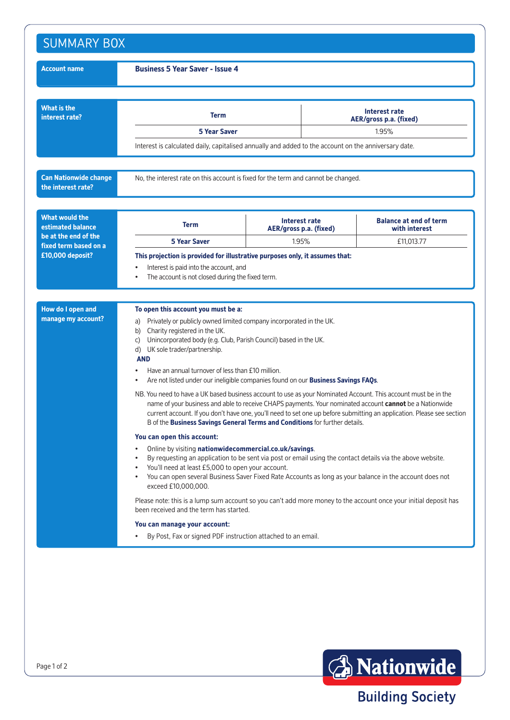| <b>Account name</b>                                                                         | <b>Business 5 Year Saver - Issue 4</b>                                                                                                                                                                                                                                                                                                                                                                                             |                        |                                         |                                                |  |
|---------------------------------------------------------------------------------------------|------------------------------------------------------------------------------------------------------------------------------------------------------------------------------------------------------------------------------------------------------------------------------------------------------------------------------------------------------------------------------------------------------------------------------------|------------------------|-----------------------------------------|------------------------------------------------|--|
| <b>What is the</b><br>interest rate?                                                        | Term                                                                                                                                                                                                                                                                                                                                                                                                                               |                        | Interest rate<br>AER/gross p.a. (fixed) |                                                |  |
|                                                                                             | <b>5 Year Saver</b>                                                                                                                                                                                                                                                                                                                                                                                                                |                        | 1.95%                                   |                                                |  |
|                                                                                             | Interest is calculated daily, capitalised annually and added to the account on the anniversary date.                                                                                                                                                                                                                                                                                                                               |                        |                                         |                                                |  |
| <b>Can Nationwide change</b><br>the interest rate?                                          | No, the interest rate on this account is fixed for the term and cannot be changed.                                                                                                                                                                                                                                                                                                                                                 |                        |                                         |                                                |  |
| <b>What would the</b><br>estimated balance<br>be at the end of the<br>fixed term based on a | <b>Term</b>                                                                                                                                                                                                                                                                                                                                                                                                                        | AER/gross p.a. (fixed) | Interest rate                           | <b>Balance at end of term</b><br>with interest |  |
|                                                                                             | <b>5 Year Saver</b>                                                                                                                                                                                                                                                                                                                                                                                                                | 1.95%                  |                                         | £11,013.77                                     |  |
| <b>How do I open and</b><br>manage my account?                                              | To open this account you must be a:<br>Privately or publicly owned limited company incorporated in the UK.<br>a)                                                                                                                                                                                                                                                                                                                   |                        |                                         |                                                |  |
|                                                                                             | Charity registered in the UK.<br>b)<br>Unincorporated body (e.g. Club, Parish Council) based in the UK.<br>C)<br>d) UK sole trader/partnership.                                                                                                                                                                                                                                                                                    |                        |                                         |                                                |  |
|                                                                                             | <b>AND</b><br>Have an annual turnover of less than £10 million.<br>Are not listed under our ineligible companies found on our Business Savings FAQs.                                                                                                                                                                                                                                                                               |                        |                                         |                                                |  |
|                                                                                             | NB. You need to have a UK based business account to use as your Nominated Account. This account must be in the<br>name of your business and able to receive CHAPS payments. Your nominated account cannot be a Nationwide<br>current account. If you don't have one, you'll need to set one up before submitting an application. Please see section<br>B of the Business Savings General Terms and Conditions for further details. |                        |                                         |                                                |  |
|                                                                                             | You can open this account:                                                                                                                                                                                                                                                                                                                                                                                                         |                        |                                         |                                                |  |
|                                                                                             | Online by visiting nationwidecommercial.co.uk/savings.<br>$\bullet$<br>By requesting an application to be sent via post or email using the contact details via the above website.<br>$\bullet$<br>You'll need at least £5,000 to open your account.<br>You can open several Business Saver Fixed Rate Accounts as long as your balance in the account does not<br>$\bullet$<br>exceed £10,000,000.                                 |                        |                                         |                                                |  |
|                                                                                             | Please note: this is a lump sum account so you can't add more money to the account once your initial deposit has<br>been received and the term has started.                                                                                                                                                                                                                                                                        |                        |                                         |                                                |  |
|                                                                                             | You can manage your account:                                                                                                                                                                                                                                                                                                                                                                                                       |                        |                                         |                                                |  |
|                                                                                             |                                                                                                                                                                                                                                                                                                                                                                                                                                    |                        |                                         |                                                |  |